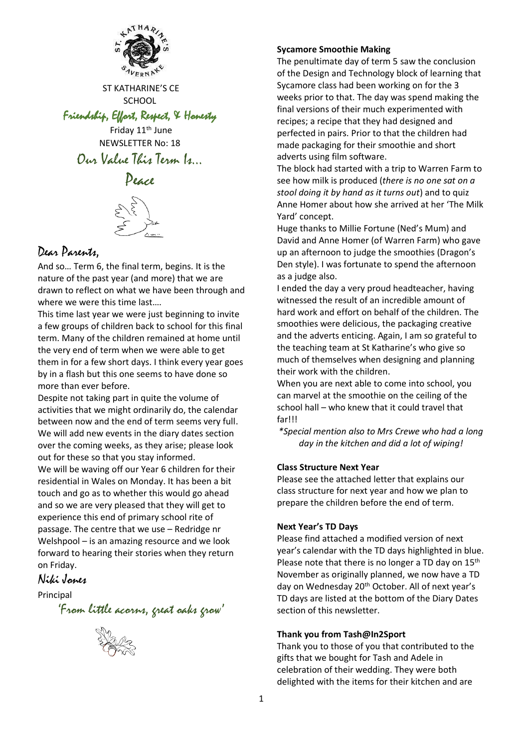

ST KATHARINE'S CE **SCHOOL** 

Friendship, Effort, Respect, & Honesty

Friday 11<sup>th</sup> June NEWSLETTER No: 18 Our Value This Term Is…

# Peace



# Dear Parents,

And so… Term 6, the final term, begins. It is the nature of the past year (and more) that we are drawn to reflect on what we have been through and where we were this time last….

This time last year we were just beginning to invite a few groups of children back to school for this final term. Many of the children remained at home until the very end of term when we were able to get them in for a few short days. I think every year goes by in a flash but this one seems to have done so more than ever before.

Despite not taking part in quite the volume of activities that we might ordinarily do, the calendar between now and the end of term seems very full. We will add new events in the diary dates section over the coming weeks, as they arise; please look out for these so that you stay informed. We will be waving off our Year 6 children for their residential in Wales on Monday. It has been a bit touch and go as to whether this would go ahead and so we are very pleased that they will get to experience this end of primary school rite of passage. The centre that we use – Redridge nr Welshpool – is an amazing resource and we look forward to hearing their stories when they return on Friday.

# Niki Jones

## Principal

'From little acorns, great oaks grow'



#### **Sycamore Smoothie Making**

The penultimate day of term 5 saw the conclusion of the Design and Technology block of learning that Sycamore class had been working on for the 3 weeks prior to that. The day was spend making the final versions of their much experimented with recipes; a recipe that they had designed and perfected in pairs. Prior to that the children had made packaging for their smoothie and short adverts using film software.

The block had started with a trip to Warren Farm to see how milk is produced (*there is no one sat on a stool doing it by hand as it turns out*) and to quiz Anne Homer about how she arrived at her 'The Milk Yard' concept.

Huge thanks to Millie Fortune (Ned's Mum) and David and Anne Homer (of Warren Farm) who gave up an afternoon to judge the smoothies (Dragon's Den style). I was fortunate to spend the afternoon as a judge also.

I ended the day a very proud headteacher, having witnessed the result of an incredible amount of hard work and effort on behalf of the children. The smoothies were delicious, the packaging creative and the adverts enticing. Again, I am so grateful to the teaching team at St Katharine's who give so much of themselves when designing and planning their work with the children.

When you are next able to come into school, you can marvel at the smoothie on the ceiling of the school hall – who knew that it could travel that far!!!

*\*Special mention also to Mrs Crewe who had a long day in the kitchen and did a lot of wiping!*

#### **Class Structure Next Year**

Please see the attached letter that explains our class structure for next year and how we plan to prepare the children before the end of term.

#### **Next Year's TD Days**

Please find attached a modified version of next year's calendar with the TD days highlighted in blue. Please note that there is no longer a TD day on 15<sup>th</sup> November as originally planned, we now have a TD day on Wednesday 20<sup>th</sup> October. All of next year's TD days are listed at the bottom of the Diary Dates section of this newsletter.

#### **Thank you from Tash@In2Sport**

Thank you to those of you that contributed to the gifts that we bought for Tash and Adele in celebration of their wedding. They were both delighted with the items for their kitchen and are